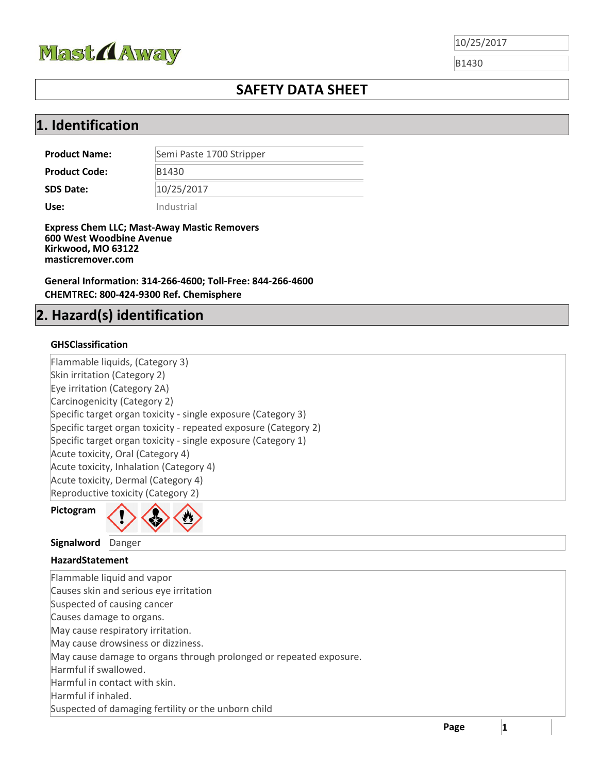

B1430

### **SAFETY DATA SHEET**

### **1. Identification**

| <b>Product Name:</b> | Semi Paste 1700 Stripper |
|----------------------|--------------------------|
| <b>Product Code:</b> | B1430                    |
| <b>SDS Date:</b>     | 10/25/2017               |
| Use:                 | Industrial               |

**Express Chem LLC; Mast-Away Mastic Removers 600 West Woodbine Avenue Kirkwood, MO 63122 masticremover.com**

**General Information: 314-266-4600; Toll-Free: 844-266-4600 CHEMTREC: 800-424-9300 Ref. Chemisphere**

### **2. Hazard(s) identification**

### **GHSClassification**

Flammable liquids, (Category 3) Skin irritation (Category 2) Eye irritation (Category 2A) Carcinogenicity (Category 2) Specific target organ toxicity ‐ single exposure (Category 3) Specific target organ toxicity ‐ repeated exposure (Category 2) Specific target organ toxicity ‐ single exposure (Category 1) Acute toxicity, Oral (Category 4) Acute toxicity, Inhalation (Category 4) Acute toxicity, Dermal (Category 4) Reproductive toxicity (Category 2)





#### **Signalword** Danger

#### **HazardStatement**

Flammable liquid and vapor Causes skin and serious eye irritation Suspected of causing cancer Causes damage to organs. May cause respiratory irritation. May cause drowsiness or dizziness. May cause damage to organs through prolonged or repeated exposure. Harmful if swallowed. Harmful in contact with skin. Harmful if inhaled. Suspected of damaging fertility or the unborn child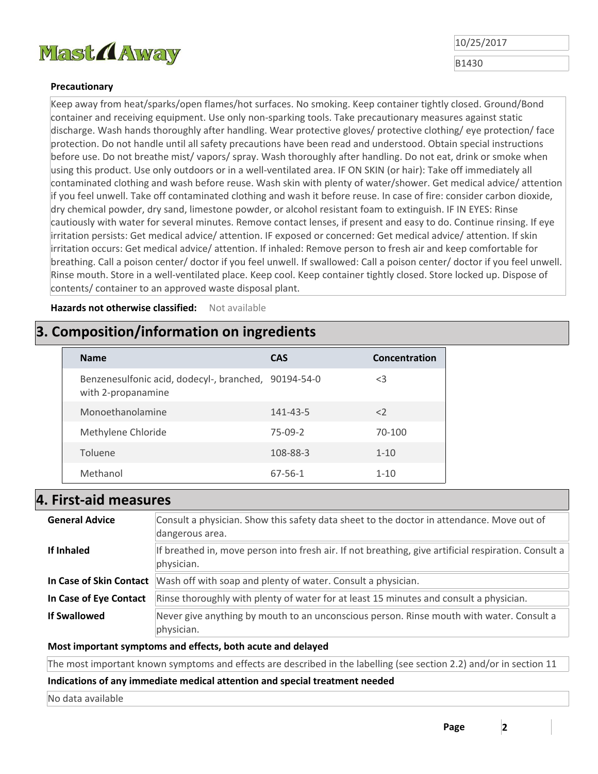

B1430

#### **Precautionary**

Keep away from heat/sparks/open flames/hot surfaces. No smoking. Keep container tightly closed. Ground/Bond container and receiving equipment. Use only non‐sparking tools. Take precautionary measures against static discharge. Wash hands thoroughly after handling. Wear protective gloves/ protective clothing/ eye protection/ face protection. Do not handle until all safety precautions have been read and understood. Obtain special instructions before use. Do not breathe mist/ vapors/ spray. Wash thoroughly after handling. Do not eat, drink or smoke when using this product. Use only outdoors or in a well‐ventilated area. IF ON SKIN (or hair): Take off immediately all contaminated clothing and wash before reuse. Wash skin with plenty of water/shower. Get medical advice/ attention if you feel unwell. Take off contaminated clothing and wash it before reuse. In case of fire: consider carbon dioxide, dry chemical powder, dry sand, limestone powder, or alcohol resistant foam to extinguish. IF IN EYES: Rinse cautiously with water for several minutes. Remove contact lenses, if present and easy to do. Continue rinsing. If eye irritation persists: Get medical advice/ attention. IF exposed or concerned: Get medical advice/ attention. If skin irritation occurs: Get medical advice/ attention. If inhaled: Remove person to fresh air and keep comfortable for breathing. Call a poison center/ doctor if you feel unwell. If swallowed: Call a poison center/ doctor if you feel unwell. Rinse mouth. Store in a well‐ventilated place. Keep cool. Keep container tightly closed. Store locked up. Dispose of contents/ container to an approved waste disposal plant.

**Hazards not otherwise classified:**  Not available

### **3. Composition/information on ingredients**

| <b>Name</b>                                                                | <b>CAS</b> | Concentration |
|----------------------------------------------------------------------------|------------|---------------|
| Benzenesulfonic acid, dodecyl-, branched, 90194-54-0<br>with 2-propanamine |            | $<$ 3         |
| Monoethanolamine                                                           | 141-43-5   | $\langle$     |
| Methylene Chloride                                                         | $75-09-2$  | 70-100        |
| Toluene                                                                    | 108-88-3   | $1 - 10$      |
| Methanol                                                                   | 67-56-1    | $1 - 10$      |

### **4. First‐aid measures**

| <b>General Advice</b>   | Consult a physician. Show this safety data sheet to the doctor in attendance. Move out of<br>dangerous area.       |
|-------------------------|--------------------------------------------------------------------------------------------------------------------|
| If Inhaled              | If breathed in, move person into fresh air. If not breathing, give artificial respiration. Consult a<br>physician. |
| In Case of Skin Contact | Wash off with soap and plenty of water. Consult a physician.                                                       |
| In Case of Eye Contact  | Rinse thoroughly with plenty of water for at least 15 minutes and consult a physician.                             |
| <b>If Swallowed</b>     | Never give anything by mouth to an unconscious person. Rinse mouth with water. Consult a<br>physician.             |

**Most important symptoms and effects, both acute and delayed**

The most important known symptoms and effects are described in the labelling (see section 2.2) and/or in section 11

**Indications of any immediate medical attention and special treatment needed** 

No data available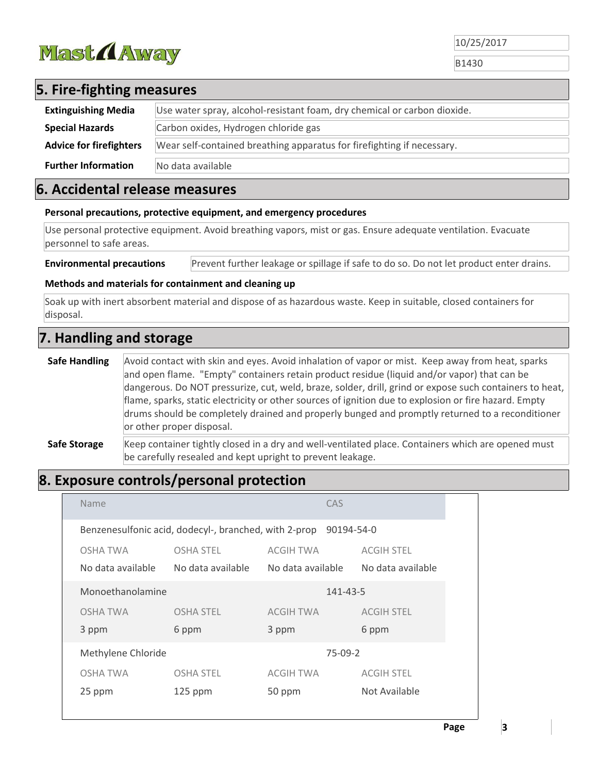

B1430

# **5. Fire‐fighting measures**

| <b>Extinguishing Media</b>     | Use water spray, alcohol-resistant foam, dry chemical or carbon dioxide. |
|--------------------------------|--------------------------------------------------------------------------|
| <b>Special Hazards</b>         | Carbon oxides, Hydrogen chloride gas                                     |
| <b>Advice for firefighters</b> | Wear self-contained breathing apparatus for firefighting if necessary.   |
| <b>Further Information</b>     | No data available                                                        |

### **6. Accidental release measures**

#### **Personal precautions, protective equipment, and emergency procedures**

Use personal protective equipment. Avoid breathing vapors, mist or gas. Ensure adequate ventilation. Evacuate personnel to safe areas.

**Environmental precautions** Prevent further leakage or spillage if safe to do so. Do not let product enter drains.

#### **Methods and materials for containment and cleaning up**

Soak up with inert absorbent material and dispose of as hazardous waste. Keep in suitable, closed containers for disposal.

## **7. Handling and storage**

**Safe Handling** Avoid contact with skin and eyes. Avoid inhalation of vapor or mist. Keep away from heat, sparks and open flame. "Empty" containers retain product residue (liquid and/or vapor) that can be dangerous. Do NOT pressurize, cut, weld, braze, solder, drill, grind or expose such containers to heat, flame, sparks, static electricity or other sources of ignition due to explosion or fire hazard. Empty drums should be completely drained and properly bunged and promptly returned to a reconditioner or other proper disposal. **Safe Storage** Keep container tightly closed in a dry and well-ventilated place. Containers which are opened must

# **8. Exposure controls/personal protection**

| Name                          |                                                       |                                | CAS        |                                        |
|-------------------------------|-------------------------------------------------------|--------------------------------|------------|----------------------------------------|
|                               | Benzenesulfonic acid, dodecyl-, branched, with 2-prop |                                | 90194-54-0 |                                        |
| OSHA TWA<br>No data available | <b>OSHA STEL</b><br>No data available                 | ACGIH TWA<br>No data available |            | <b>ACGIH STEL</b><br>No data available |
| Monoethanolamine              |                                                       |                                | 141-43-5   |                                        |
| OSHA TWA                      | <b>OSHA STEL</b>                                      | ACGIH TWA                      |            | <b>ACGIH STEL</b>                      |
| 3 ppm                         | 6 ppm                                                 | 3 ppm                          |            | 6 ppm                                  |
| Methylene Chloride            |                                                       |                                | $75-09-2$  |                                        |
| OSHA TWA                      | <b>OSHA STEL</b>                                      | ACGIH TWA                      |            | <b>ACGIH STEL</b>                      |
| 25 ppm                        | $125$ ppm                                             | 50 ppm                         |            | Not Available                          |
|                               |                                                       |                                |            |                                        |

be carefully resealed and kept upright to prevent leakage.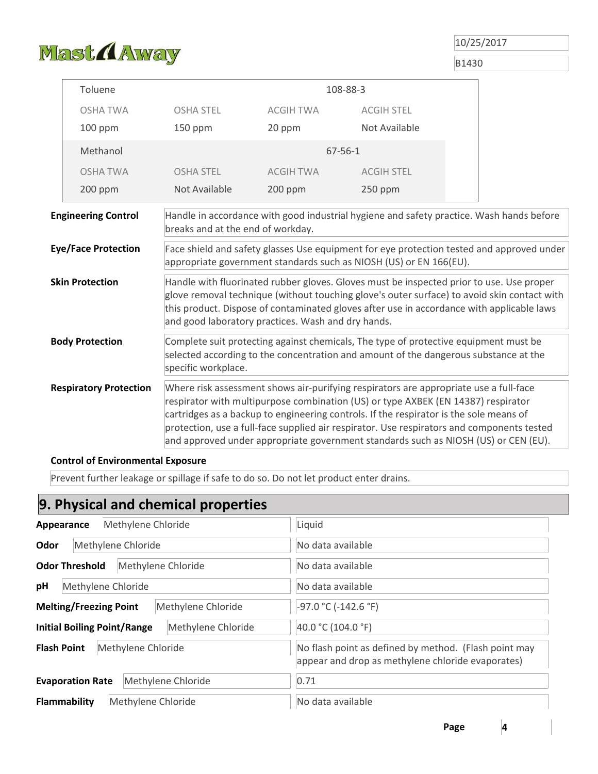

B1430

| Toluene                       |                                                                                                                                                                                                                                                                                                                                            |                  | 108-88-3                                                                                                                                                                                                                                                                                                                                                                                                                                                  |                                                                                           |
|-------------------------------|--------------------------------------------------------------------------------------------------------------------------------------------------------------------------------------------------------------------------------------------------------------------------------------------------------------------------------------------|------------------|-----------------------------------------------------------------------------------------------------------------------------------------------------------------------------------------------------------------------------------------------------------------------------------------------------------------------------------------------------------------------------------------------------------------------------------------------------------|-------------------------------------------------------------------------------------------|
| <b>OSHA TWA</b>               | <b>OSHA STEL</b>                                                                                                                                                                                                                                                                                                                           | <b>ACGIH TWA</b> | <b>ACGIH STEL</b>                                                                                                                                                                                                                                                                                                                                                                                                                                         |                                                                                           |
| 100 ppm                       | 150 ppm                                                                                                                                                                                                                                                                                                                                    | 20 ppm           | Not Available                                                                                                                                                                                                                                                                                                                                                                                                                                             |                                                                                           |
| Methanol                      |                                                                                                                                                                                                                                                                                                                                            |                  | $67 - 56 - 1$                                                                                                                                                                                                                                                                                                                                                                                                                                             |                                                                                           |
| <b>OSHA TWA</b>               | <b>OSHA STEL</b>                                                                                                                                                                                                                                                                                                                           | <b>ACGIH TWA</b> | <b>ACGIH STEL</b>                                                                                                                                                                                                                                                                                                                                                                                                                                         |                                                                                           |
| 200 ppm                       | Not Available                                                                                                                                                                                                                                                                                                                              | 200 ppm          | 250 ppm                                                                                                                                                                                                                                                                                                                                                                                                                                                   |                                                                                           |
| <b>Engineering Control</b>    | breaks and at the end of workday.                                                                                                                                                                                                                                                                                                          |                  | Handle in accordance with good industrial hygiene and safety practice. Wash hands before                                                                                                                                                                                                                                                                                                                                                                  |                                                                                           |
| <b>Eye/Face Protection</b>    |                                                                                                                                                                                                                                                                                                                                            |                  | appropriate government standards such as NIOSH (US) or EN 166(EU).                                                                                                                                                                                                                                                                                                                                                                                        | Face shield and safety glasses Use equipment for eye protection tested and approved under |
| <b>Skin Protection</b>        | Handle with fluorinated rubber gloves. Gloves must be inspected prior to use. Use proper<br>glove removal technique (without touching glove's outer surface) to avoid skin contact with<br>this product. Dispose of contaminated gloves after use in accordance with applicable laws<br>and good laboratory practices. Wash and dry hands. |                  |                                                                                                                                                                                                                                                                                                                                                                                                                                                           |                                                                                           |
| <b>Body Protection</b>        | specific workplace.                                                                                                                                                                                                                                                                                                                        |                  | Complete suit protecting against chemicals, The type of protective equipment must be<br>selected according to the concentration and amount of the dangerous substance at the                                                                                                                                                                                                                                                                              |                                                                                           |
| <b>Respiratory Protection</b> |                                                                                                                                                                                                                                                                                                                                            |                  | Where risk assessment shows air-purifying respirators are appropriate use a full-face<br>respirator with multipurpose combination (US) or type AXBEK (EN 14387) respirator<br>cartridges as a backup to engineering controls. If the respirator is the sole means of<br>protection, use a full-face supplied air respirator. Use respirators and components tested<br>and approved under appropriate government standards such as NIOSH (US) or CEN (EU). |                                                                                           |

#### **Control of Environmental Exposure**

Prevent further leakage or spillage if safe to do so. Do not let product enter drains.

# **9. Physical and chemical properties**

| Methylene Chloride<br>Appearance                         | Liquid                                                                                                     |
|----------------------------------------------------------|------------------------------------------------------------------------------------------------------------|
| Odor<br>Methylene Chloride                               | No data available                                                                                          |
| <b>Odor Threshold</b><br>Methylene Chloride              | No data available                                                                                          |
| Methylene Chloride<br>pH                                 | No data available                                                                                          |
| <b>Melting/Freezing Point</b><br>Methylene Chloride      | $-97.0 °C (-142.6 °F)$                                                                                     |
| <b>Initial Boiling Point/Range</b><br>Methylene Chloride | 40.0 °C (104.0 °F)                                                                                         |
| <b>Flash Point</b><br>Methylene Chloride                 | No flash point as defined by method. (Flash point may<br>appear and drop as methylene chloride evaporates) |
| Methylene Chloride<br><b>Evaporation Rate</b>            | 0.71                                                                                                       |
| Flammability<br>Methylene Chloride                       | No data available                                                                                          |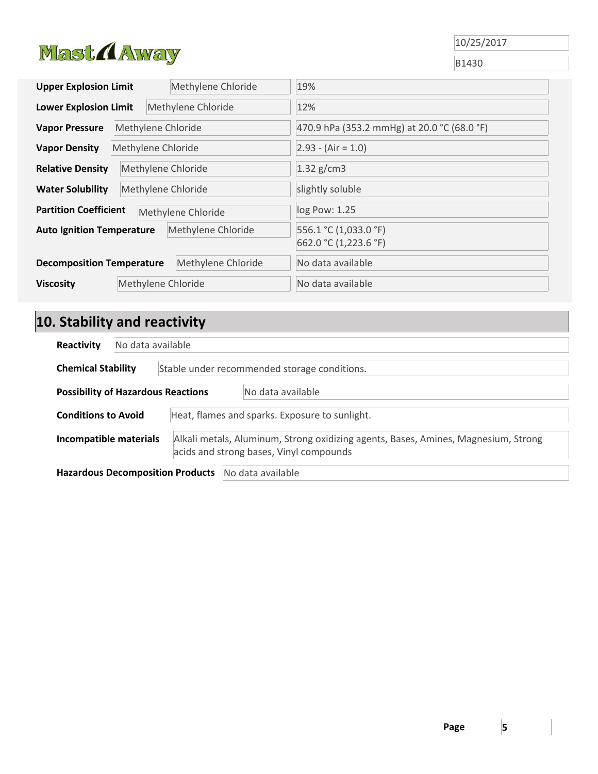

B1430

| <b>Upper Explosion Limit</b>                       | Methylene Chloride | 19%                                            |
|----------------------------------------------------|--------------------|------------------------------------------------|
| <b>Lower Explosion Limit</b>                       | Methylene Chloride | 12%                                            |
| <b>Vapor Pressure</b>                              | Methylene Chloride | 470.9 hPa (353.2 mmHg) at 20.0 °C (68.0 °F)    |
| <b>Vapor Density</b>                               | Methylene Chloride | $2.93 - (Air = 1.0)$                           |
| <b>Relative Density</b>                            | Methylene Chloride | $1.32$ g/cm3                                   |
| Methylene Chloride<br><b>Water Solubility</b>      |                    | slightly soluble                               |
| <b>Partition Coefficient</b><br>Methylene Chloride |                    | log Pow: 1.25                                  |
| <b>Auto Ignition Temperature</b>                   | Methylene Chloride | 556.1 °C (1,033.0 °F)<br>662.0 °C (1,223.6 °F) |
| <b>Decomposition Temperature</b>                   | Methylene Chloride | No data available                              |
| <b>Viscosity</b>                                   | Methylene Chloride | No data available                              |

# **10. Stability and reactivity**

| Reactivity                |                                                                              | No data available                         |                                                                                                                               |  |
|---------------------------|------------------------------------------------------------------------------|-------------------------------------------|-------------------------------------------------------------------------------------------------------------------------------|--|
| <b>Chemical Stability</b> |                                                                              |                                           | Stable under recommended storage conditions.                                                                                  |  |
|                           |                                                                              | <b>Possibility of Hazardous Reactions</b> | No data available                                                                                                             |  |
|                           | <b>Conditions to Avoid</b><br>Heat, flames and sparks. Exposure to sunlight. |                                           |                                                                                                                               |  |
| Incompatible materials    |                                                                              |                                           | Alkali metals, Aluminum, Strong oxidizing agents, Bases, Amines, Magnesium, Strong<br>acids and strong bases, Vinyl compounds |  |
|                           |                                                                              | <b>Hazardous Decomposition Products</b>   | No data available                                                                                                             |  |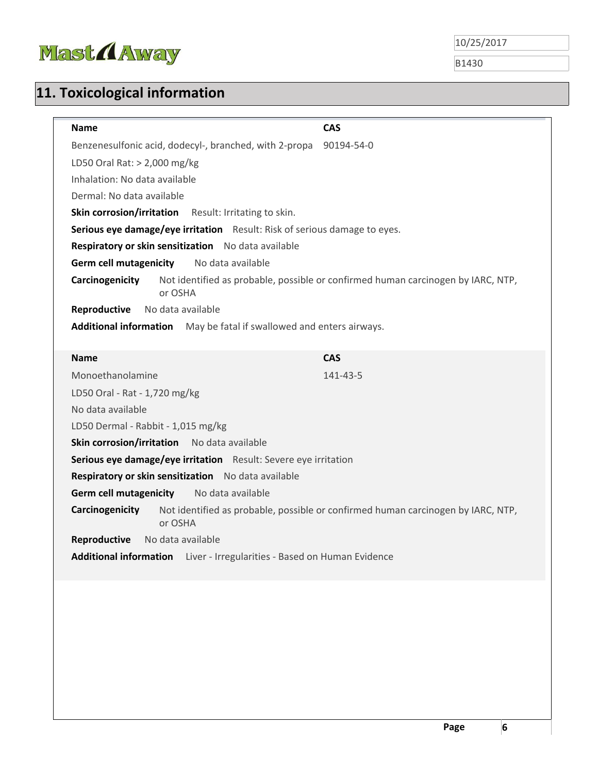

B1430

# **11. Toxicological information**

| <b>Name</b>                                                                       | <b>CAS</b>                                                                       |
|-----------------------------------------------------------------------------------|----------------------------------------------------------------------------------|
| Benzenesulfonic acid, dodecyl-, branched, with 2-propa                            | 90194-54-0                                                                       |
| LD50 Oral Rat: $> 2,000$ mg/kg                                                    |                                                                                  |
| Inhalation: No data available                                                     |                                                                                  |
| Dermal: No data available                                                         |                                                                                  |
| Skin corrosion/irritation Result: Irritating to skin.                             |                                                                                  |
| Serious eye damage/eye irritation Result: Risk of serious damage to eyes.         |                                                                                  |
| Respiratory or skin sensitization No data available                               |                                                                                  |
| <b>Germ cell mutagenicity</b><br>No data available                                |                                                                                  |
| Carcinogenicity<br>or OSHA                                                        | Not identified as probable, possible or confirmed human carcinogen by IARC, NTP, |
| Reproductive<br>No data available                                                 |                                                                                  |
| Additional information May be fatal if swallowed and enters airways.              |                                                                                  |
|                                                                                   |                                                                                  |
| <b>Name</b>                                                                       | <b>CAS</b>                                                                       |
| Monoethanolamine                                                                  | 141-43-5                                                                         |
| LD50 Oral - Rat - 1,720 mg/kg                                                     |                                                                                  |
| No data available                                                                 |                                                                                  |
| LD50 Dermal - Rabbit - 1,015 mg/kg                                                |                                                                                  |
| Skin corrosion/irritation No data available                                       |                                                                                  |
| Serious eye damage/eye irritation Result: Severe eye irritation                   |                                                                                  |
| Respiratory or skin sensitization No data available                               |                                                                                  |
| <b>Germ cell mutagenicity</b><br>No data available                                |                                                                                  |
| Carcinogenicity<br>or OSHA                                                        | Not identified as probable, possible or confirmed human carcinogen by IARC, NTP, |
| No data available<br>Reproductive                                                 |                                                                                  |
| <b>Additional information</b><br>Liver - Irregularities - Based on Human Evidence |                                                                                  |
|                                                                                   |                                                                                  |
|                                                                                   |                                                                                  |
|                                                                                   |                                                                                  |
|                                                                                   |                                                                                  |
|                                                                                   |                                                                                  |
|                                                                                   |                                                                                  |
|                                                                                   |                                                                                  |
|                                                                                   |                                                                                  |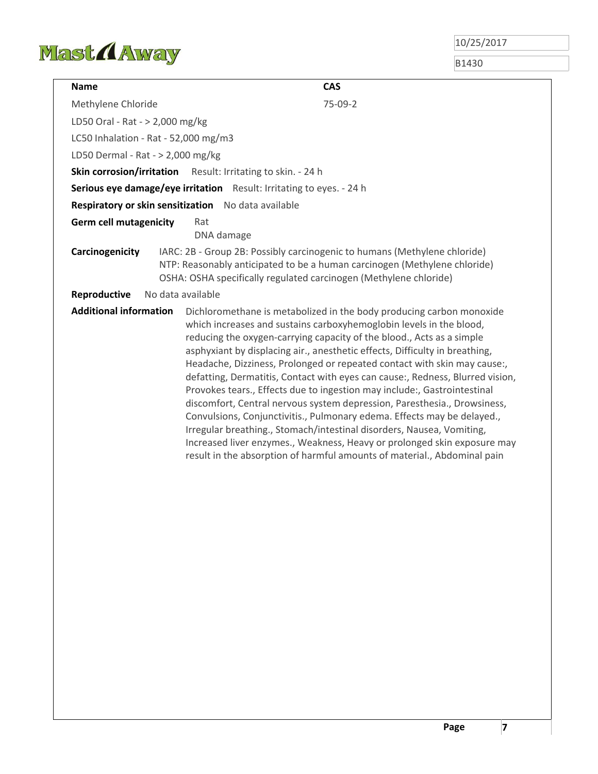

B1430

| <b>Name</b>                          | <b>CAS</b>                                                                                                                                                                                                                                                                                                                                                                                                                                                                                                                                                                                                                                                                                                                                                                                                                                                                                                                           |
|--------------------------------------|--------------------------------------------------------------------------------------------------------------------------------------------------------------------------------------------------------------------------------------------------------------------------------------------------------------------------------------------------------------------------------------------------------------------------------------------------------------------------------------------------------------------------------------------------------------------------------------------------------------------------------------------------------------------------------------------------------------------------------------------------------------------------------------------------------------------------------------------------------------------------------------------------------------------------------------|
| Methylene Chloride                   | 75-09-2                                                                                                                                                                                                                                                                                                                                                                                                                                                                                                                                                                                                                                                                                                                                                                                                                                                                                                                              |
| LD50 Oral - Rat - > 2,000 mg/kg      |                                                                                                                                                                                                                                                                                                                                                                                                                                                                                                                                                                                                                                                                                                                                                                                                                                                                                                                                      |
| LC50 Inhalation - Rat - 52,000 mg/m3 |                                                                                                                                                                                                                                                                                                                                                                                                                                                                                                                                                                                                                                                                                                                                                                                                                                                                                                                                      |
| LD50 Dermal - Rat - > 2,000 mg/kg    |                                                                                                                                                                                                                                                                                                                                                                                                                                                                                                                                                                                                                                                                                                                                                                                                                                                                                                                                      |
|                                      | <b>Skin corrosion/irritation</b> Result: Irritating to skin. - 24 h                                                                                                                                                                                                                                                                                                                                                                                                                                                                                                                                                                                                                                                                                                                                                                                                                                                                  |
|                                      | Serious eye damage/eye irritation Result: Irritating to eyes. - 24 h                                                                                                                                                                                                                                                                                                                                                                                                                                                                                                                                                                                                                                                                                                                                                                                                                                                                 |
|                                      | Respiratory or skin sensitization No data available                                                                                                                                                                                                                                                                                                                                                                                                                                                                                                                                                                                                                                                                                                                                                                                                                                                                                  |
| <b>Germ cell mutagenicity</b>        | Rat<br>DNA damage                                                                                                                                                                                                                                                                                                                                                                                                                                                                                                                                                                                                                                                                                                                                                                                                                                                                                                                    |
| Carcinogenicity                      | IARC: 2B - Group 2B: Possibly carcinogenic to humans (Methylene chloride)<br>NTP: Reasonably anticipated to be a human carcinogen (Methylene chloride)<br>OSHA: OSHA specifically regulated carcinogen (Methylene chloride)                                                                                                                                                                                                                                                                                                                                                                                                                                                                                                                                                                                                                                                                                                          |
| Reproductive                         | No data available                                                                                                                                                                                                                                                                                                                                                                                                                                                                                                                                                                                                                                                                                                                                                                                                                                                                                                                    |
| <b>Additional information</b>        | Dichloromethane is metabolized in the body producing carbon monoxide<br>which increases and sustains carboxyhemoglobin levels in the blood,<br>reducing the oxygen-carrying capacity of the blood., Acts as a simple<br>asphyxiant by displacing air., anesthetic effects, Difficulty in breathing,<br>Headache, Dizziness, Prolonged or repeated contact with skin may cause:,<br>defatting, Dermatitis, Contact with eyes can cause:, Redness, Blurred vision,<br>Provokes tears., Effects due to ingestion may include:, Gastrointestinal<br>discomfort, Central nervous system depression, Paresthesia., Drowsiness,<br>Convulsions, Conjunctivitis., Pulmonary edema. Effects may be delayed.,<br>Irregular breathing., Stomach/intestinal disorders, Nausea, Vomiting,<br>Increased liver enzymes., Weakness, Heavy or prolonged skin exposure may<br>result in the absorption of harmful amounts of material., Abdominal pain |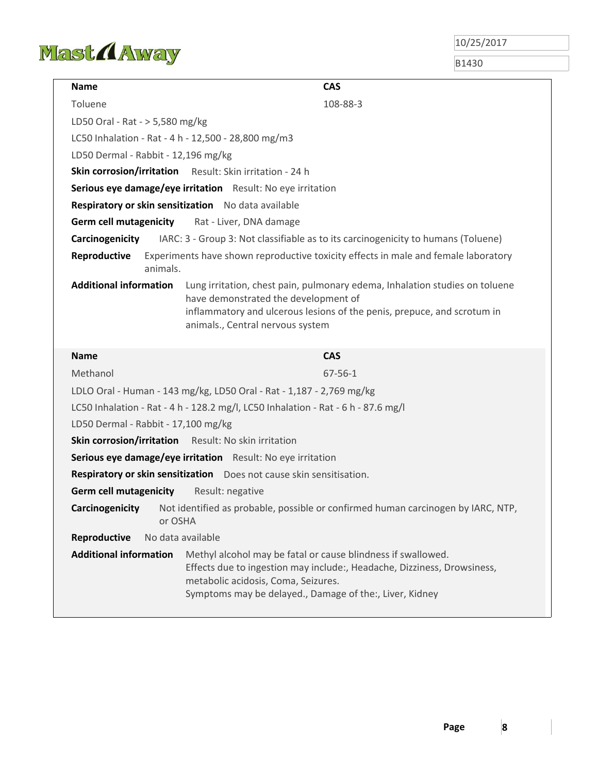

B1430

| <b>Name</b>                         | <b>CAS</b>                                                                                                                                                                                                                                |  |  |
|-------------------------------------|-------------------------------------------------------------------------------------------------------------------------------------------------------------------------------------------------------------------------------------------|--|--|
| Toluene                             | 108-88-3                                                                                                                                                                                                                                  |  |  |
|                                     | LD50 Oral - Rat - > 5,580 mg/kg                                                                                                                                                                                                           |  |  |
|                                     | LC50 Inhalation - Rat - 4 h - 12,500 - 28,800 mg/m3                                                                                                                                                                                       |  |  |
| LD50 Dermal - Rabbit - 12,196 mg/kg |                                                                                                                                                                                                                                           |  |  |
| <b>Skin corrosion/irritation</b>    | Result: Skin irritation - 24 h                                                                                                                                                                                                            |  |  |
|                                     | Serious eye damage/eye irritation Result: No eye irritation                                                                                                                                                                               |  |  |
|                                     | Respiratory or skin sensitization No data available                                                                                                                                                                                       |  |  |
| <b>Germ cell mutagenicity</b>       | Rat - Liver, DNA damage                                                                                                                                                                                                                   |  |  |
| Carcinogenicity                     | IARC: 3 - Group 3: Not classifiable as to its carcinogenicity to humans (Toluene)                                                                                                                                                         |  |  |
| Reproductive<br>animals.            | Experiments have shown reproductive toxicity effects in male and female laboratory                                                                                                                                                        |  |  |
| <b>Additional information</b>       | Lung irritation, chest pain, pulmonary edema, Inhalation studies on toluene<br>have demonstrated the development of<br>inflammatory and ulcerous lesions of the penis, prepuce, and scrotum in<br>animals., Central nervous system        |  |  |
| <b>Name</b>                         | <b>CAS</b>                                                                                                                                                                                                                                |  |  |
| Methanol                            | $67 - 56 - 1$                                                                                                                                                                                                                             |  |  |
|                                     | LDLO Oral - Human - 143 mg/kg, LD50 Oral - Rat - 1,187 - 2,769 mg/kg                                                                                                                                                                      |  |  |
|                                     | LC50 Inhalation - Rat - 4 h - 128.2 mg/l, LC50 Inhalation - Rat - 6 h - 87.6 mg/l                                                                                                                                                         |  |  |
| LD50 Dermal - Rabbit - 17,100 mg/kg |                                                                                                                                                                                                                                           |  |  |
| <b>Skin corrosion/irritation</b>    | Result: No skin irritation                                                                                                                                                                                                                |  |  |
|                                     | Serious eye damage/eye irritation Result: No eye irritation                                                                                                                                                                               |  |  |
|                                     | Respiratory or skin sensitization  Does not cause skin sensitisation.                                                                                                                                                                     |  |  |
| <b>Germ cell mutagenicity</b>       | Result: negative                                                                                                                                                                                                                          |  |  |
| Carcinogenicity<br>or OSHA          | Not identified as probable, possible or confirmed human carcinogen by IARC, NTP,                                                                                                                                                          |  |  |
| Reproductive                        | No data available                                                                                                                                                                                                                         |  |  |
| <b>Additional information</b>       | Methyl alcohol may be fatal or cause blindness if swallowed.<br>Effects due to ingestion may include:, Headache, Dizziness, Drowsiness,<br>metabolic acidosis, Coma, Seizures.<br>Symptoms may be delayed., Damage of the:, Liver, Kidney |  |  |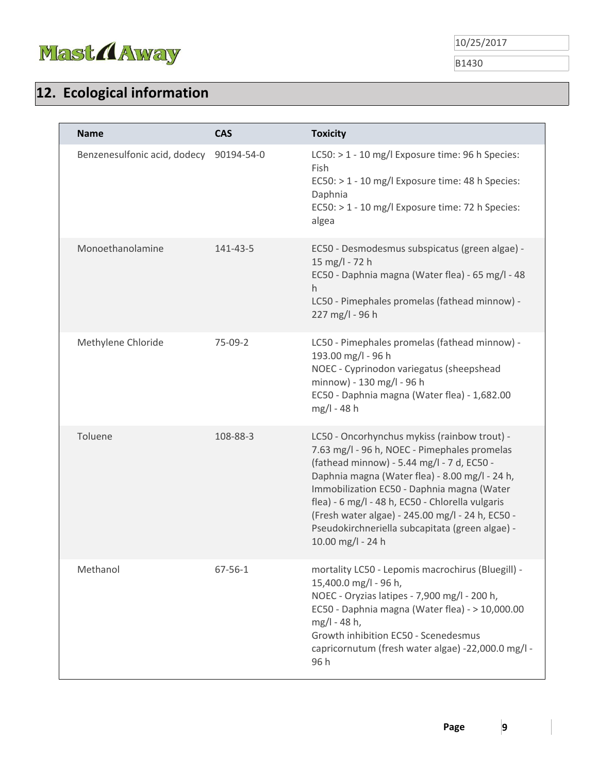

B1430

# **12. Ecological information**

| <b>Name</b>                  | <b>CAS</b>    | <b>Toxicity</b>                                                                                                                                                                                                                                                                                                                                                                                                            |
|------------------------------|---------------|----------------------------------------------------------------------------------------------------------------------------------------------------------------------------------------------------------------------------------------------------------------------------------------------------------------------------------------------------------------------------------------------------------------------------|
| Benzenesulfonic acid, dodecy | 90194-54-0    | LC50: > 1 - 10 mg/l Exposure time: 96 h Species:<br>Fish<br>EC50: > 1 - 10 mg/l Exposure time: 48 h Species:<br>Daphnia<br>EC50: > 1 - 10 mg/l Exposure time: 72 h Species:<br>algea                                                                                                                                                                                                                                       |
| Monoethanolamine             | 141-43-5      | EC50 - Desmodesmus subspicatus (green algae) -<br>15 mg/l - 72 h<br>EC50 - Daphnia magna (Water flea) - 65 mg/l - 48<br>h.<br>LC50 - Pimephales promelas (fathead minnow) -<br>227 mg/l - 96 h                                                                                                                                                                                                                             |
| Methylene Chloride           | 75-09-2       | LC50 - Pimephales promelas (fathead minnow) -<br>193.00 mg/l - 96 h<br>NOEC - Cyprinodon variegatus (sheepshead<br>minnow) - 130 mg/l - 96 h<br>EC50 - Daphnia magna (Water flea) - 1,682.00<br>mg/l - 48 h                                                                                                                                                                                                                |
| Toluene                      | 108-88-3      | LC50 - Oncorhynchus mykiss (rainbow trout) -<br>7.63 mg/l - 96 h, NOEC - Pimephales promelas<br>(fathead minnow) - 5.44 mg/l - 7 d, EC50 -<br>Daphnia magna (Water flea) - 8.00 mg/l - 24 h,<br>Immobilization EC50 - Daphnia magna (Water<br>flea) - 6 mg/l - 48 h, EC50 - Chlorella vulgaris<br>(Fresh water algae) - 245.00 mg/l - 24 h, EC50 -<br>Pseudokirchneriella subcapitata (green algae) -<br>10.00 mg/l - 24 h |
| Methanol                     | $67 - 56 - 1$ | mortality LC50 - Lepomis macrochirus (Bluegill) -<br>15,400.0 mg/l - 96 h,<br>NOEC - Oryzias latipes - 7,900 mg/l - 200 h,<br>EC50 - Daphnia magna (Water flea) - > 10,000.00<br>mg/l - 48 h,<br>Growth inhibition EC50 - Scenedesmus<br>capricornutum (fresh water algae) -22,000.0 mg/l -<br>96 h                                                                                                                        |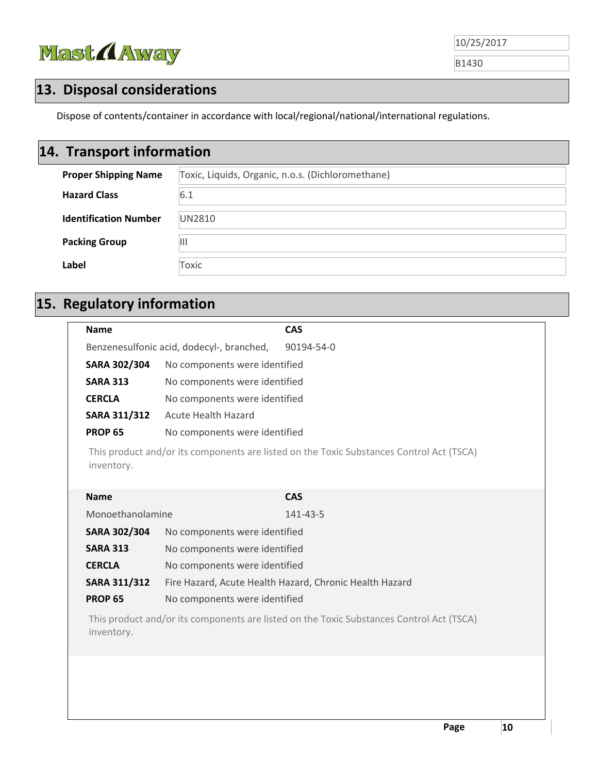

# **13. Disposal considerations**

Dispose of contents/container in accordance with local/regional/national/international regulations.

# **14. Transport information**

| <b>Proper Shipping Name</b>  | Toxic, Liquids, Organic, n.o.s. (Dichloromethane) |
|------------------------------|---------------------------------------------------|
| <b>Hazard Class</b>          | 6.1                                               |
| <b>Identification Number</b> | <b>UN2810</b>                                     |
| <b>Packing Group</b>         | Ш                                                 |
| Label                        | Toxic                                             |

# **15. Regulatory information**

| <b>Name</b>                                                                                            | <b>CAS</b>                                              |  |  |
|--------------------------------------------------------------------------------------------------------|---------------------------------------------------------|--|--|
| Benzenesulfonic acid, dodecyl-, branched,<br>90194-54-0                                                |                                                         |  |  |
| SARA 302/304                                                                                           | No components were identified                           |  |  |
| <b>SARA 313</b>                                                                                        | No components were identified                           |  |  |
| <b>CERCLA</b>                                                                                          | No components were identified                           |  |  |
| <b>SARA 311/312</b>                                                                                    | <b>Acute Health Hazard</b>                              |  |  |
| <b>PROP 65</b>                                                                                         | No components were identified                           |  |  |
| This product and/or its components are listed on the Toxic Substances Control Act (TSCA)<br>inventory. |                                                         |  |  |
| <b>Name</b>                                                                                            | <b>CAS</b>                                              |  |  |
| Monoethanolamine                                                                                       | 141-43-5                                                |  |  |
| SARA 302/304                                                                                           | No components were identified                           |  |  |
| <b>SARA 313</b>                                                                                        | No components were identified                           |  |  |
| <b>CERCLA</b>                                                                                          | No components were identified                           |  |  |
| <b>SARA 311/312</b>                                                                                    | Fire Hazard, Acute Health Hazard, Chronic Health Hazard |  |  |
| <b>PROP 65</b>                                                                                         | No components were identified                           |  |  |
| This product and/or its components are listed on the Toxic Substances Control Act (TSCA)<br>inventory. |                                                         |  |  |
|                                                                                                        |                                                         |  |  |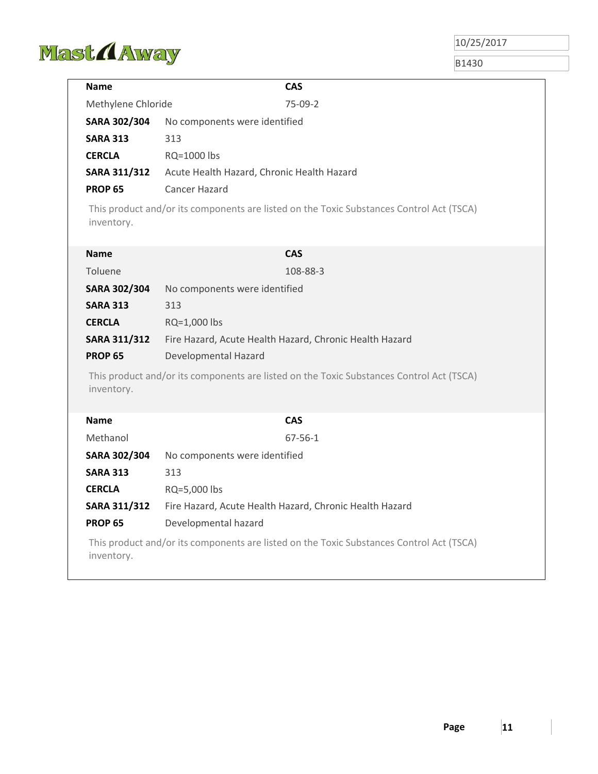

B1430

| <b>Name</b>         | <b>CAS</b>                                                                               |  |  |
|---------------------|------------------------------------------------------------------------------------------|--|--|
| Methylene Chloride  | 75-09-2                                                                                  |  |  |
| SARA 302/304        | No components were identified                                                            |  |  |
| <b>SARA 313</b>     | 313                                                                                      |  |  |
| <b>CERCLA</b>       | RQ=1000 lbs                                                                              |  |  |
| <b>SARA 311/312</b> | Acute Health Hazard, Chronic Health Hazard                                               |  |  |
| <b>PROP 65</b>      | <b>Cancer Hazard</b>                                                                     |  |  |
| inventory.          | This product and/or its components are listed on the Toxic Substances Control Act (TSCA) |  |  |
| <b>Name</b>         | <b>CAS</b>                                                                               |  |  |
| Toluene             | 108-88-3                                                                                 |  |  |
| SARA 302/304        | No components were identified                                                            |  |  |
| <b>SARA 313</b>     | 313                                                                                      |  |  |
| <b>CERCLA</b>       | RQ=1,000 lbs                                                                             |  |  |
| <b>SARA 311/312</b> | Fire Hazard, Acute Health Hazard, Chronic Health Hazard                                  |  |  |
| <b>PROP 65</b>      | Developmental Hazard                                                                     |  |  |
| inventory.          | This product and/or its components are listed on the Toxic Substances Control Act (TSCA) |  |  |
| <b>Name</b>         | <b>CAS</b>                                                                               |  |  |
| Methanol            | $67 - 56 - 1$                                                                            |  |  |
| SARA 302/304        | No components were identified                                                            |  |  |
| <b>SARA 313</b>     | 313                                                                                      |  |  |
| <b>CERCLA</b>       | RQ=5,000 lbs                                                                             |  |  |
| <b>SARA 311/312</b> | Fire Hazard, Acute Health Hazard, Chronic Health Hazard                                  |  |  |
| <b>PROP 65</b>      | Developmental hazard                                                                     |  |  |
| inventory.          | This product and/or its components are listed on the Toxic Substances Control Act (TSCA) |  |  |